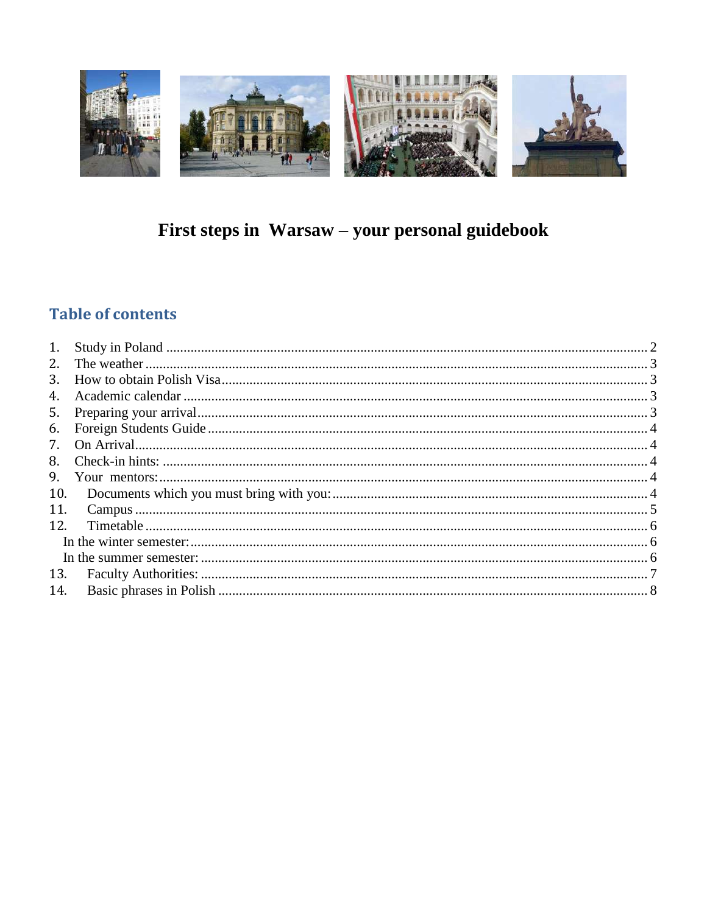

# First steps in Warsaw - your personal guidebook

## **Table of contents**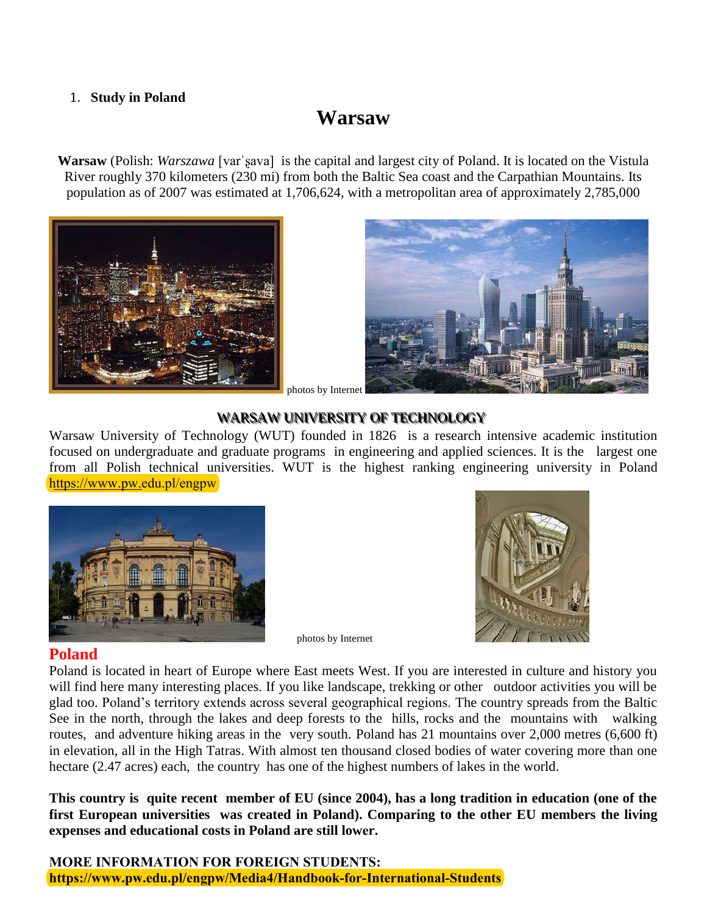#### <span id="page-1-0"></span>1. **Study in Poland**

## **Warsaw**

**Warsaw** (Polish: *Warszawa* [varˈʂava] is the capital and largest city of Poland. It is located on the Vistula River roughly 370 kilometers (230 mi) from both the Baltic Sea coast and the Carpathian Mountains. Its population as of 2007 was estimated at 1,706,624, with a metropolitan area of approximately 2,785,000





#### photos by Internet

#### WARSAW UNIVERSITY OF TECHNOLOGY

Warsaw University of Technology (WUT) founded in 1826 is a research intensive academic institution focused on undergraduate and graduate programs in engineering and applied sciences. It is the largest one from all Polish technical universities. WUT is the highest ranking engineering university in Poland https://www.pw.edu.pl/engpw



photos by Internet

#### **Poland**

Poland is located in heart of Europe where East meets West. If you are interested in culture and history you will find here many interesting places. If you like landscape, trekking or other outdoor activities you will be glad too. Poland's territory extends across several geographical regions. The country spreads from the Baltic See in the north, through the lakes and deep forests to the hills, rocks and the mountains with walking routes, and adventure hiking areas in the very south. Poland has 21 mountains over 2,000 metres (6,600 ft) in elevation, all in the High Tatras. With almost ten thousand closed bodies of water covering more than one hectare (2.47 acres) each, the country has one of the highest numbers of lakes in the world.

**This country is quite recent member of EU (since 2004), has a long tradition in education (one of the first European universities was created in Poland). Comparing to the other EU members the living expenses and educational costs in Poland are still lower.**

**MORE INFORMATION FOR FOREIGN STUDENTS: https://www.pw.edu.pl/engpw/Media4/Handbook-for-International-Students**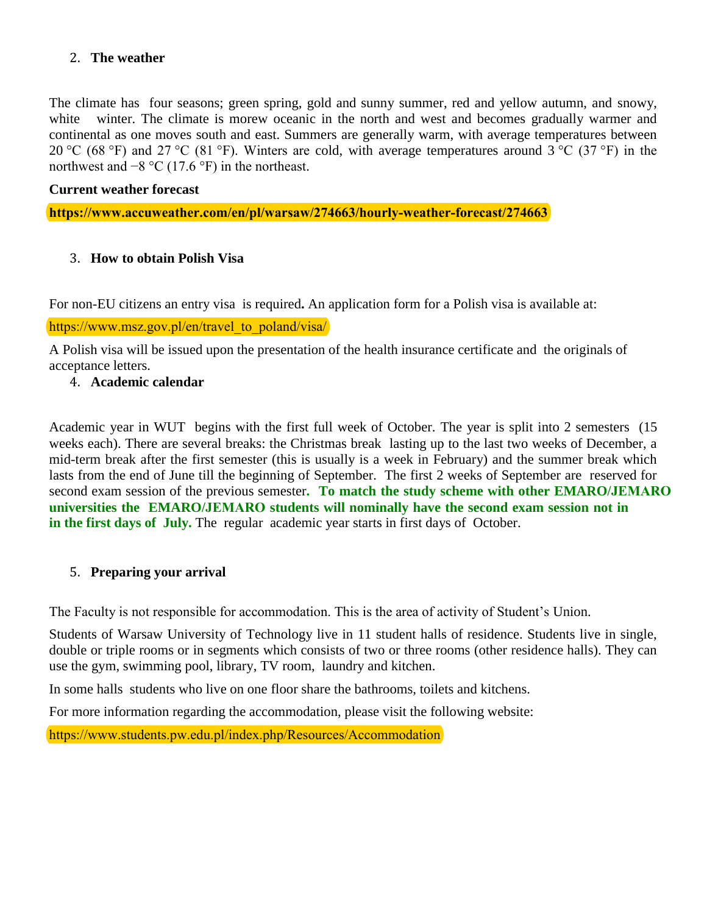#### <span id="page-2-0"></span>2. **The weather**

The climate has four seasons; green spring, gold and sunny summer, red and yellow autumn, and snowy, white winter. The climate is morew oceanic in the north and west and becomes gradually warmer and continental as one moves south and east. Summers are generally warm, with average temperatures between 20 °C (68 °F) and 27 °C (81 °F). Winters are cold, with average temperatures around 3 °C (37 °F) in the northwest and  $-8$  °C (17.6 °F) in the northeast.

#### **Current weather forecast**

**[https://www.accuweather.com/en/pl/warsaw/274663/hourly-weather-forecast/274663](https://www.accuweather.com/pl/pl/warsaw/274663/weather-forecast/274663#menu-country)**

#### <span id="page-2-1"></span>3. **How to obtain Polish Visa**

For non-EU citizens an entry visa is required**.** An application form for a Polish visa is available at:

#### [https://www.msz.gov.pl/en/travel\\_to\\_poland/visa/](https://newyork.mfa.gov.pl/en/consular_information/visas/visas)

A Polish visa will be issued upon the presentation of the health insurance certificate and the originals of acceptance letters.

#### <span id="page-2-2"></span>4. **Academic calendar**

Academic year in WUT begins with the first full week of October. The year is split into 2 semesters (15 weeks each). There are several breaks: the Christmas break lasting up to the last two weeks of December, a mid-term break after the first semester (this is usually is a week in February) and the summer break which lasts from the end of June till the beginning of September. The first 2 weeks of September are reserved for second exam session of the previous semester**. To match the study scheme with other EMARO/JEMARO partner universities /JEMARO the EMARO/JEMARO students will nominally have the second exam session not in** in the first days of July. The regular academic year starts in first days of October.

#### <span id="page-2-3"></span>5. **Preparing your arrival**

The Faculty is not responsible for accommodation. This is the area of activity of Student's Union.

Students of Warsaw University of Technology live in 11 student halls of residence. Students live in single, double or triple rooms or in segments which consists of two or three rooms (other residence halls). They can use the gym, swimming pool, library, TV room, laundry and kitchen.

In some halls students who live on one floor share the bathrooms, toilets and kitchens.

For more information regarding the accommodation, please visit the following website:

https://www.students.pw.edu.pl/index.php/Resources/Accommodation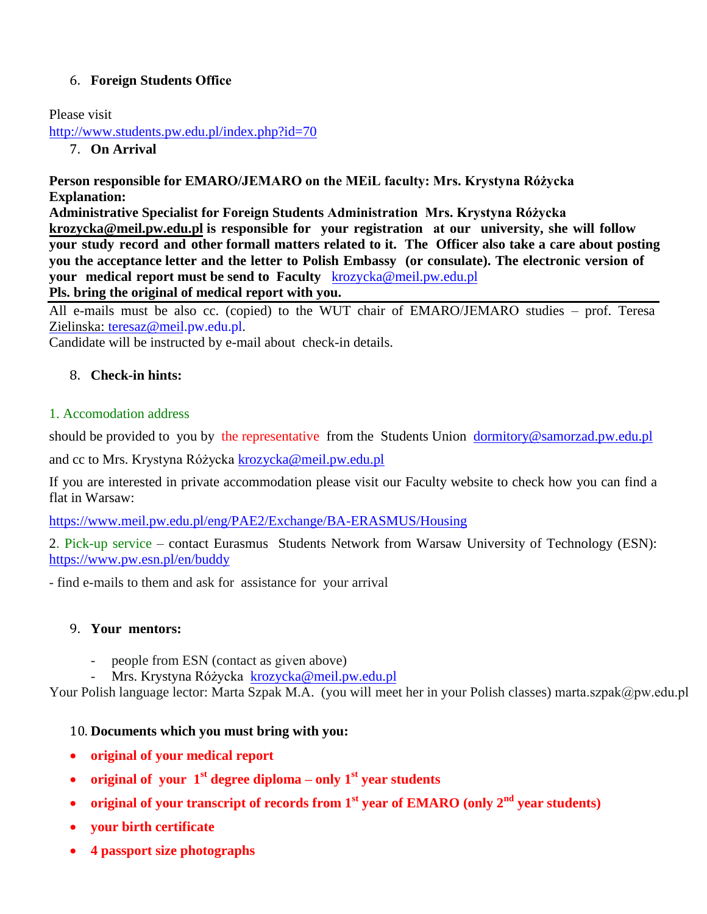### <span id="page-3-0"></span>6. **Foreign Students Office**

Please visit

<span id="page-3-1"></span><http://www.students.pw.edu.pl/index.php?id=70>

7. **On Arrival**

**Person responsible for EMARO/JEMARO on the MEiL faculty: Mrs. Krystyna Różycka Explanation:** 

**Administrative Specialist for Foreign Students Administration Mrs. Krys[tyna Różycka](mailto:krozycka@meil.pw.edu.pl)  krozycka@meil.pw.edu.pl is responsible for your registration at our university, she will follow your study record and other formall matters related to it. The Officer also take a care about posting you the acceptance letter and the letter to Polish Embassy (or consulate). The electronic version of your medical report mu[st be send to Faculty](mailto:krozycka@meil.pw.edu.pl)** krozycka@meil.pw.edu.pl

#### **Pls. bring the original of medical report with you.**

All e-mails must be also cc. (copied) to the WUT chair of EMARO/JEMARO studies – prof. Teresa [Zielinska: teresaz@meil.](mailto:teresaz@meil.pw.edu.pl)pw.edu.pl.

Candidate will be instructed by e-mail about check-in details.

### <span id="page-3-2"></span>8. **Check-in hints:**

#### 1. Accomodation address

should be provided to you by the representative from the Students Union [dormitory@samorzad.pw.edu.pl](mailto:dormitory@samorzad.pw.edu.pl)

and cc to Mrs. Krystyna Różycka [krozycka@meil.pw.edu.pl](mailto:krozycka@meil.pw.edu.pl)

If you are interested in private accommodation please visit our Faculty website to check how you can find a flat in Warsaw:

<https://www.meil.pw.edu.pl/eng/PAE2/Exchange/BA-ERASMUS/Housing>

2. Pick-up service – contact Eurasmus Students Network from Warsaw University of Technology (ESN): <https://www.pw.esn.pl/en/buddy>

- find e-mails to them and ask for assistance for your arrival

### <span id="page-3-3"></span>9. **Your mentors:**

- people from ESN (contact as given above)
- Mrs. Krystyna Różycka [krozycka@meil.pw.edu.pl](mailto:krozycka@meil.pw.edu.pl)

Your Polish language lector: Marta Szpak M.A. (you will meet her in your Polish classes) marta.szpak@pw.edu.pl

### <span id="page-3-4"></span>10. **Documents which you must bring with you:**

- **original of your medical report**
- **original of your**  $1^{st}$  **degree diploma only**  $1^{st}$  **year students**
- **original of your transcript of records from 1st year of EMARO (only 2nd year students)**
- **your birth certificate**
- **4 passport size photographs**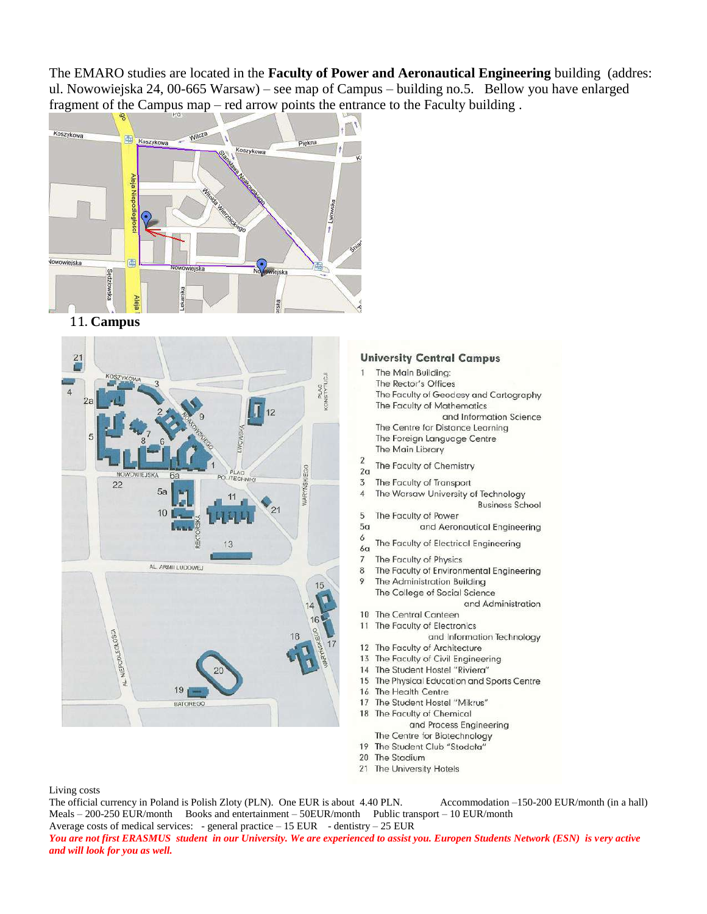The EMARO studies are located in the **Faculty of Power and Aeronautical Engineering** building (addres: ul. Nowowiejska 24, 00-665 Warsaw) – see map of Campus – building no.5. Bellow you have enlarged fragment of the Campus map – red arrow points the entrance to the Faculty building.



11. Campus

<span id="page-4-0"></span>

#### **University Central Campus**

- The Main Buildina: Ĩ.
	- The Rector's Offices
	- The Faculty of Geodesy and Cartography The Faculty of Mathematics
	- and Information Science The Centre for Distance Learning
	- The Foreign Language Centre The Main Library
- $\overline{2}$
- The Faculty of Chemistry  $2a$
- $\overline{3}$ The Faculty of Transport  $\overline{4}$ 
	- The Warsaw University of Technology **Business School**
- 5 The Faculty of Power
- $5<sub>a</sub>$ and Aeronautical Engineering
- 6 The Faculty of Electrical Engineering  $6<sub>a</sub>$
- The Faculty of Physics  $7\overline{ }$
- 8 The Faculty of Environmental Engineering
- 9 The Administration Building The College of Social Science and Administration
- 10 The Central Canteen
- 11 The Faculty of Electronics and Information Technology
- 12 The Faculty of Architecture
- 13 The Faculty of Civil Engineering
- 14 The Student Hostel "Riviera"
- 15 The Physical Education and Sports Centre
- 16 The Health Centre
- 17 The Student Hostel "Mikrus" 18
	- The Faculty of Chemical
	- and Process Engineering
- The Centre for Biotechnology 19 The Student Club "Stodola"
- 20 The Stadium
- 21 The University Hotels
- 

Living costs

The official currency in Poland is Polish Zloty (PLN). One EUR is about 4.40 PLN. Accommodation -150-200 EUR/month (in a hall) Meals - 200-250 EUR/month Books and entertainment - 50EUR/month Public transport - 10 EUR/month Average costs of medical services: - general practice  $-15$  EUR - dentistry  $-25$  EUR

You are not first ERASMUS student in our University. We are experienced to assist you. Europen Students Network (ESN) is very active and will look for you as well.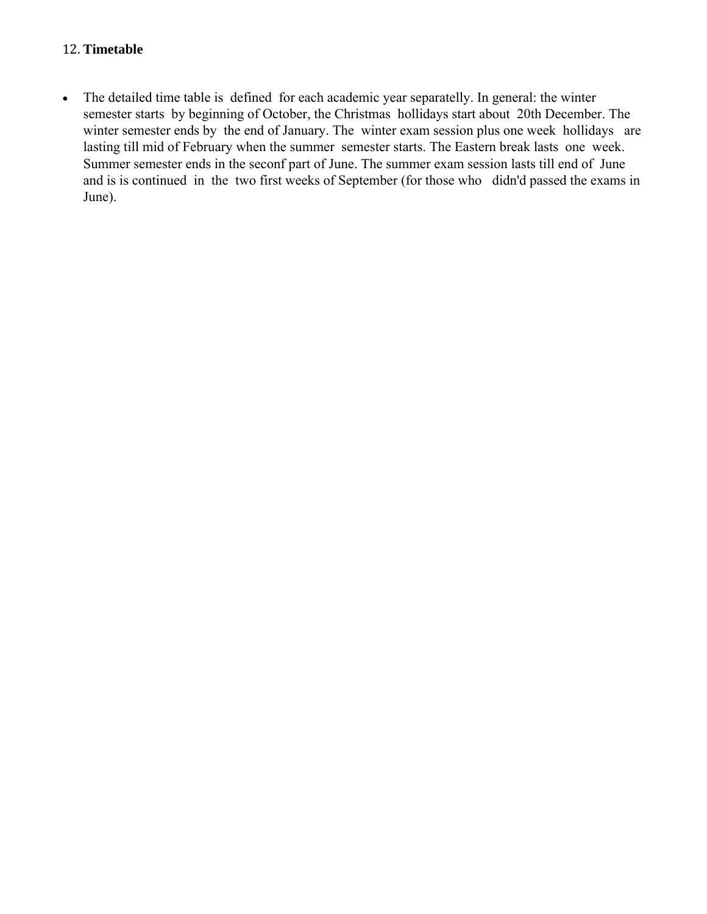#### <span id="page-5-0"></span>12. **Timetable**

<span id="page-5-2"></span><span id="page-5-1"></span> The detailed time table is defined for each academic year separatelly. In general: the winter semester starts by beginning of October, the Christmas hollidays start about 20th December. The winter semester ends by the end of January. The winter exam session plus one week hollidays are lasting till mid of February when the summer semester starts. The Eastern break lasts one week. Summer semester ends in the seconf part of June. The summer exam session lasts till end of June and is is continued in the two first weeks of September (for those who didn'd passed the exams in June).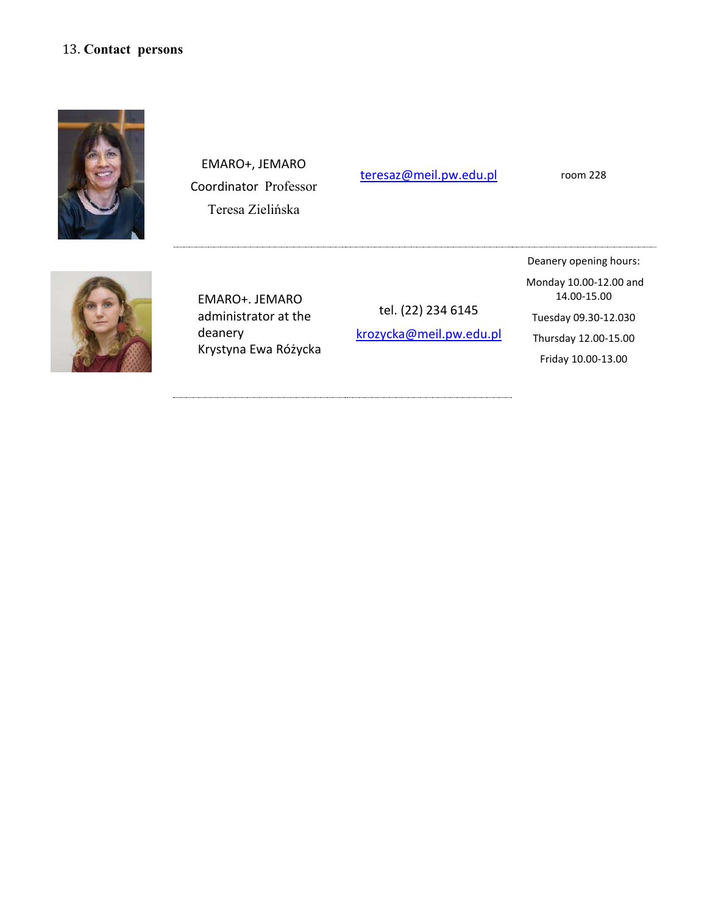#### <span id="page-6-0"></span>13. **Contact persons**



EMARO+, JEMARO Coordinator Professor Teresa Zielińska

teresaz@meil.pw.edu.pl room 228



EMARO+. JEMARO administrator at the deanery Krystyna Ewa Różycka

tel. (22) 234 6145 krozycka@meil.pw.edu.pl

Deanery opening hours: Monday 10.00-12.00 and 14.00-15.00 Tuesday 09.30-12.030 Thursday 12.00-15.00

Friday 10.00-13.00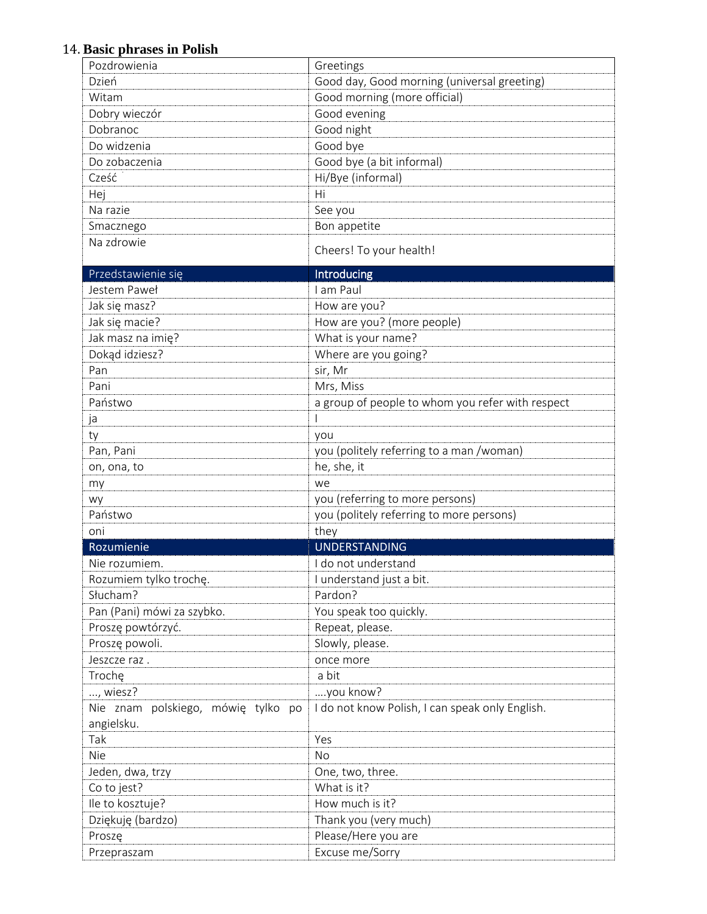### <span id="page-7-0"></span>14. **Basic phrases in Polish**

| Pozdrowienia                                     | Greetings                                        |
|--------------------------------------------------|--------------------------------------------------|
| Dzień                                            | Good day, Good morning (universal greeting)      |
| Witam                                            | Good morning (more official)                     |
| Dobry wieczór                                    | Good evening                                     |
| Dobranoc                                         | Good night                                       |
| Do widzenia                                      | Good bye                                         |
| Do zobaczenia                                    | Good bye (a bit informal)                        |
| Cześć                                            | Hi/Bye (informal)                                |
| Hej                                              | Hi                                               |
| Na razie                                         | See you                                          |
| Smacznego                                        | Bon appetite                                     |
| Na zdrowie                                       | Cheers! To your health!                          |
| Przedstawienie się                               | Introducing                                      |
| Jestem Paweł                                     | I am Paul                                        |
| Jak się masz?                                    | How are you?                                     |
| Jak się macie?                                   | How are you? (more people)                       |
| Jak masz na imię?                                | What is your name?                               |
| Dokąd idziesz?                                   | Where are you going?                             |
| Pan                                              | sir, Mr                                          |
| Pani                                             | Mrs, Miss                                        |
| Państwo                                          | a group of people to whom you refer with respect |
| ja                                               |                                                  |
| ty                                               | you                                              |
| Pan, Pani                                        | you (politely referring to a man /woman)         |
| on, ona, to                                      | he, she, it                                      |
| my                                               | we                                               |
| wy                                               | you (referring to more persons)                  |
| Państwo                                          | you (politely referring to more persons)         |
| oni                                              | they                                             |
| Rozumienie                                       | <b>UNDERSTANDING</b>                             |
| Nie rozumiem.                                    | I do not understand                              |
| Rozumiem tylko trochę.                           | I understand just a bit.                         |
| Słucham?                                         | Pardon?                                          |
| Pan (Pani) mówi za szybko.                       | You speak too quickly.                           |
| Proszę powtórzyć.                                | Repeat, please.                                  |
| Proszę powoli.                                   | Slowly, please.                                  |
| Jeszcze raz.                                     | once more                                        |
| Trochę                                           | a bit                                            |
| , wiesz?                                         | you know?                                        |
| Nie znam polskiego, mówię tylko po<br>angielsku. | I do not know Polish, I can speak only English.  |
| Tak                                              | Yes                                              |
| <b>Nie</b>                                       | <b>No</b>                                        |
| Jeden, dwa, trzy                                 | One, two, three.                                 |
| Co to jest?                                      | What is it?                                      |
| Ile to kosztuje?                                 | How much is it?                                  |
| Dziękuję (bardzo)                                | Thank you (very much)                            |
| Proszę                                           | Please/Here you are                              |
| Przepraszam                                      | Excuse me/Sorry                                  |
|                                                  |                                                  |